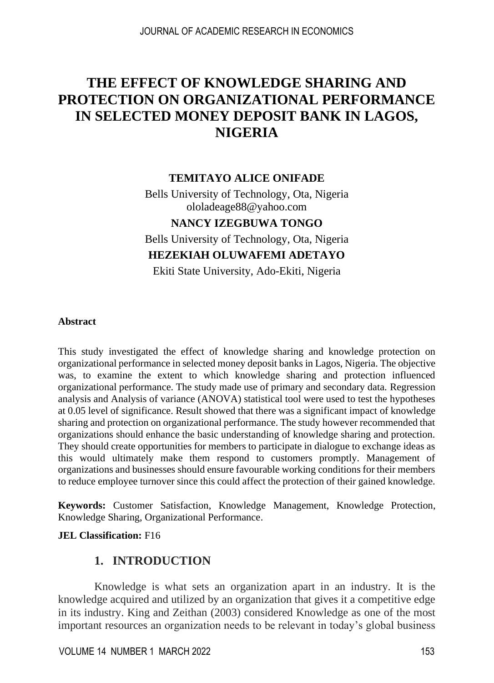# **THE EFFECT OF KNOWLEDGE SHARING AND PROTECTION ON ORGANIZATIONAL PERFORMANCE IN SELECTED MONEY DEPOSIT BANK IN LAGOS, NIGERIA**

#### **TEMITAYO ALICE ONIFADE**

Bells University of Technology, Ota, Nigeria ololadeage88@yahoo.com

#### **NANCY IZEGBUWA TONGO**

Bells University of Technology, Ota, Nigeria

### **HEZEKIAH OLUWAFEMI ADETAYO**

Ekiti State University, Ado-Ekiti, Nigeria

#### **Abstract**

This study investigated the effect of knowledge sharing and knowledge protection on organizational performance in selected money deposit banks in Lagos, Nigeria. The objective was, to examine the extent to which knowledge sharing and protection influenced organizational performance. The study made use of primary and secondary data. Regression analysis and Analysis of variance (ANOVA) statistical tool were used to test the hypotheses at 0.05 level of significance. Result showed that there was a significant impact of knowledge sharing and protection on organizational performance. The study however recommended that organizations should enhance the basic understanding of knowledge sharing and protection. They should create opportunities for members to participate in dialogue to exchange ideas as this would ultimately make them respond to customers promptly. Management of organizations and businesses should ensure favourable working conditions for their members to reduce employee turnover since this could affect the protection of their gained knowledge.

**Keywords:** Customer Satisfaction, Knowledge Management, Knowledge Protection, Knowledge Sharing, Organizational Performance.

#### **JEL Classification:** F16

### **1. INTRODUCTION**

Knowledge is what sets an organization apart in an industry. It is the knowledge acquired and utilized by an organization that gives it a competitive edge in its industry. King and Zeithan (2003) considered Knowledge as one of the most important resources an organization needs to be relevant in today's global business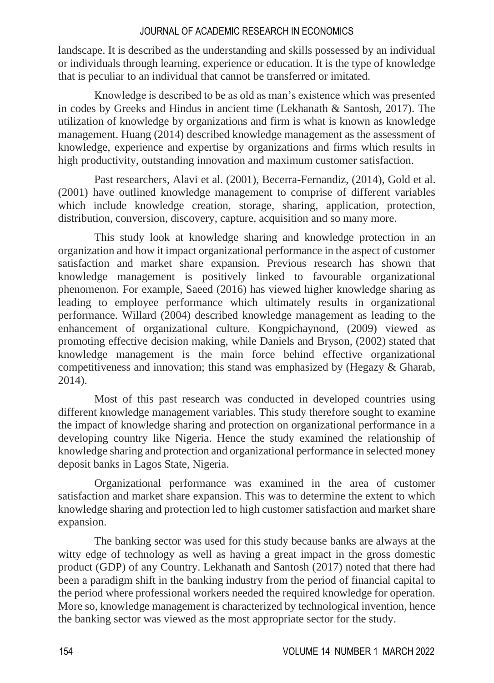landscape. It is described as the understanding and skills possessed by an individual or individuals through learning, experience or education. It is the type of knowledge that is peculiar to an individual that cannot be transferred or imitated.

Knowledge is described to be as old as man's existence which was presented in codes by Greeks and Hindus in ancient time (Lekhanath & Santosh, 2017). The utilization of knowledge by organizations and firm is what is known as knowledge management. Huang (2014) described knowledge management as the assessment of knowledge, experience and expertise by organizations and firms which results in high productivity, outstanding innovation and maximum customer satisfaction.

Past researchers, Alavi et al. (2001), Becerra-Fernandiz, (2014), Gold et al. (2001) have outlined knowledge management to comprise of different variables which include knowledge creation, storage, sharing, application, protection, distribution, conversion, discovery, capture, acquisition and so many more.

This study look at knowledge sharing and knowledge protection in an organization and how it impact organizational performance in the aspect of customer satisfaction and market share expansion. Previous research has shown that knowledge management is positively linked to favourable organizational phenomenon. For example, Saeed (2016) has viewed higher knowledge sharing as leading to employee performance which ultimately results in organizational performance. Willard (2004) described knowledge management as leading to the enhancement of organizational culture. Kongpichaynond, (2009) viewed as promoting effective decision making, while Daniels and Bryson, (2002) stated that knowledge management is the main force behind effective organizational competitiveness and innovation; this stand was emphasized by (Hegazy & Gharab, 2014).

Most of this past research was conducted in developed countries using different knowledge management variables. This study therefore sought to examine the impact of knowledge sharing and protection on organizational performance in a developing country like Nigeria. Hence the study examined the relationship of knowledge sharing and protection and organizational performance in selected money deposit banks in Lagos State, Nigeria.

Organizational performance was examined in the area of customer satisfaction and market share expansion. This was to determine the extent to which knowledge sharing and protection led to high customer satisfaction and market share expansion.

The banking sector was used for this study because banks are always at the witty edge of technology as well as having a great impact in the gross domestic product (GDP) of any Country. Lekhanath and Santosh (2017) noted that there had been a paradigm shift in the banking industry from the period of financial capital to the period where professional workers needed the required knowledge for operation. More so, knowledge management is characterized by technological invention, hence the banking sector was viewed as the most appropriate sector for the study.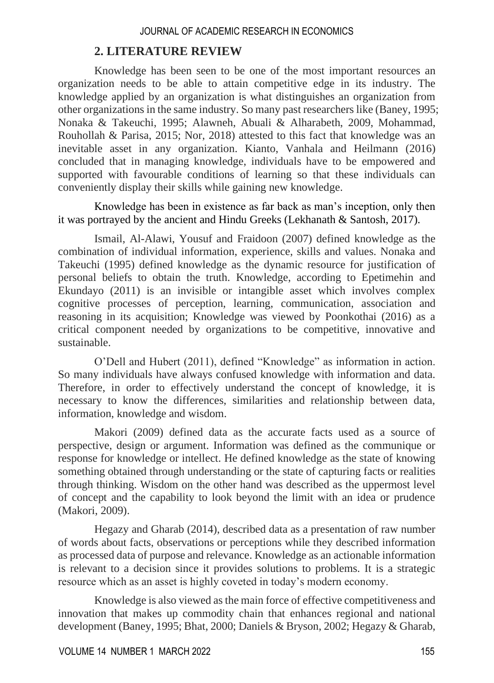### **2. LITERATURE REVIEW**

Knowledge has been seen to be one of the most important resources an organization needs to be able to attain competitive edge in its industry. The knowledge applied by an organization is what distinguishes an organization from other organizations in the same industry. So many past researchers like (Baney, 1995; Nonaka & Takeuchi, 1995; Alawneh, Abuali & Alharabeth, 2009, Mohammad, Rouhollah & Parisa, 2015; Nor, 2018) attested to this fact that knowledge was an inevitable asset in any organization. Kianto, Vanhala and Heilmann (2016) concluded that in managing knowledge, individuals have to be empowered and supported with favourable conditions of learning so that these individuals can conveniently display their skills while gaining new knowledge.

Knowledge has been in existence as far back as man's inception, only then it was portrayed by the ancient and Hindu Greeks (Lekhanath & Santosh, 2017).

Ismail, Al-Alawi, Yousuf and Fraidoon (2007) defined knowledge as the combination of individual information, experience, skills and values. Nonaka and Takeuchi (1995) defined knowledge as the dynamic resource for justification of personal beliefs to obtain the truth. Knowledge, according to Epetimehin and Ekundayo (2011) is an invisible or intangible asset which involves complex cognitive processes of perception, learning, communication, association and reasoning in its acquisition; Knowledge was viewed by Poonkothai (2016) as a critical component needed by organizations to be competitive, innovative and sustainable.

O'Dell and Hubert (2011), defined "Knowledge" as information in action. So many individuals have always confused knowledge with information and data. Therefore, in order to effectively understand the concept of knowledge, it is necessary to know the differences, similarities and relationship between data, information, knowledge and wisdom.

Makori (2009) defined data as the accurate facts used as a source of perspective, design or argument. Information was defined as the communique or response for knowledge or intellect. He defined knowledge as the state of knowing something obtained through understanding or the state of capturing facts or realities through thinking. Wisdom on the other hand was described as the uppermost level of concept and the capability to look beyond the limit with an idea or prudence (Makori, 2009).

Hegazy and Gharab (2014), described data as a presentation of raw number of words about facts, observations or perceptions while they described information as processed data of purpose and relevance. Knowledge as an actionable information is relevant to a decision since it provides solutions to problems. It is a strategic resource which as an asset is highly coveted in today's modern economy.

Knowledge is also viewed as the main force of effective competitiveness and innovation that makes up commodity chain that enhances regional and national development (Baney, 1995; Bhat, 2000; Daniels & Bryson, 2002; Hegazy & Gharab,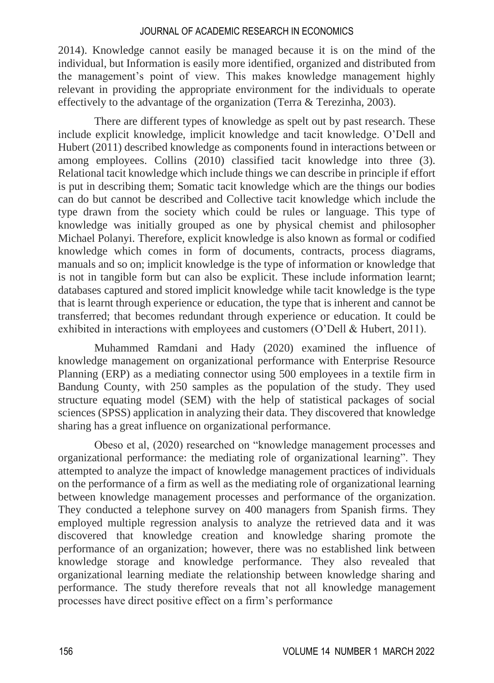2014). Knowledge cannot easily be managed because it is on the mind of the individual, but Information is easily more identified, organized and distributed from the management's point of view. This makes knowledge management highly relevant in providing the appropriate environment for the individuals to operate effectively to the advantage of the organization (Terra & Terezinha, 2003).

There are different types of knowledge as spelt out by past research. These include explicit knowledge, implicit knowledge and tacit knowledge. O'Dell and Hubert (2011) described knowledge as components found in interactions between or among employees. Collins (2010) classified tacit knowledge into three (3). Relational tacit knowledge which include things we can describe in principle if effort is put in describing them; Somatic tacit knowledge which are the things our bodies can do but cannot be described and Collective tacit knowledge which include the type drawn from the society which could be rules or language. This type of knowledge was initially grouped as one by physical chemist and philosopher Michael Polanyi. Therefore, explicit knowledge is also known as formal or codified knowledge which comes in form of documents, contracts, process diagrams, manuals and so on; implicit knowledge is the type of information or knowledge that is not in tangible form but can also be explicit. These include information learnt; databases captured and stored implicit knowledge while tacit knowledge is the type that is learnt through experience or education, the type that is inherent and cannot be transferred; that becomes redundant through experience or education. It could be exhibited in interactions with employees and customers (O'Dell & Hubert, 2011).

Muhammed Ramdani and Hady (2020) examined the influence of knowledge management on organizational performance with Enterprise Resource Planning (ERP) as a mediating connector using 500 employees in a textile firm in Bandung County, with 250 samples as the population of the study. They used structure equating model (SEM) with the help of statistical packages of social sciences (SPSS) application in analyzing their data. They discovered that knowledge sharing has a great influence on organizational performance.

Obeso et al, (2020) researched on "knowledge management processes and organizational performance: the mediating role of organizational learning". They attempted to analyze the impact of knowledge management practices of individuals on the performance of a firm as well as the mediating role of organizational learning between knowledge management processes and performance of the organization. They conducted a telephone survey on 400 managers from Spanish firms. They employed multiple regression analysis to analyze the retrieved data and it was discovered that knowledge creation and knowledge sharing promote the performance of an organization; however, there was no established link between knowledge storage and knowledge performance. They also revealed that organizational learning mediate the relationship between knowledge sharing and performance. The study therefore reveals that not all knowledge management processes have direct positive effect on a firm's performance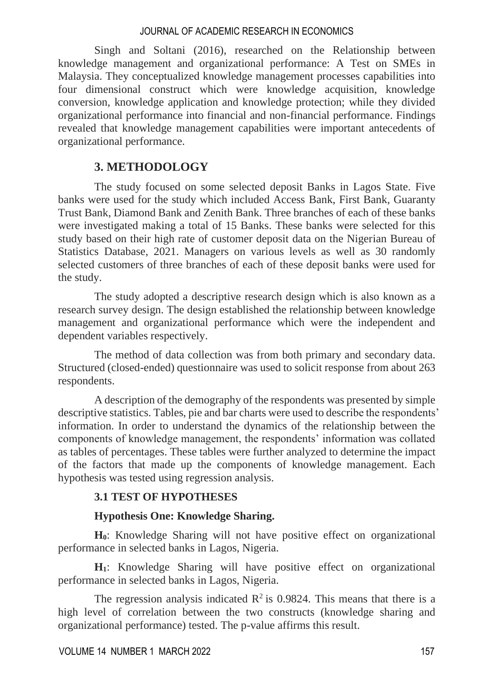Singh and Soltani (2016), researched on the Relationship between knowledge management and organizational performance: A Test on SMEs in Malaysia. They conceptualized knowledge management processes capabilities into four dimensional construct which were knowledge acquisition, knowledge conversion, knowledge application and knowledge protection; while they divided organizational performance into financial and non-financial performance. Findings revealed that knowledge management capabilities were important antecedents of organizational performance.

# **3. METHODOLOGY**

The study focused on some selected deposit Banks in Lagos State. Five banks were used for the study which included Access Bank, First Bank, Guaranty Trust Bank, Diamond Bank and Zenith Bank. Three branches of each of these banks were investigated making a total of 15 Banks. These banks were selected for this study based on their high rate of customer deposit data on the Nigerian Bureau of Statistics Database, 2021. Managers on various levels as well as 30 randomly selected customers of three branches of each of these deposit banks were used for the study.

The study adopted a descriptive research design which is also known as a research survey design. The design established the relationship between knowledge management and organizational performance which were the independent and dependent variables respectively.

The method of data collection was from both primary and secondary data. Structured (closed-ended) questionnaire was used to solicit response from about 263 respondents.

A description of the demography of the respondents was presented by simple descriptive statistics. Tables, pie and bar charts were used to describe the respondents' information. In order to understand the dynamics of the relationship between the components of knowledge management, the respondents' information was collated as tables of percentages. These tables were further analyzed to determine the impact of the factors that made up the components of knowledge management. Each hypothesis was tested using regression analysis.

### **3.1 TEST OF HYPOTHESES**

### **Hypothesis One: Knowledge Sharing.**

**H0**: Knowledge Sharing will not have positive effect on organizational performance in selected banks in Lagos, Nigeria.

**H1**: Knowledge Sharing will have positive effect on organizational performance in selected banks in Lagos, Nigeria.

The regression analysis indicated  $\mathbb{R}^2$  is 0.9824. This means that there is a high level of correlation between the two constructs (knowledge sharing and organizational performance) tested. The p-value affirms this result.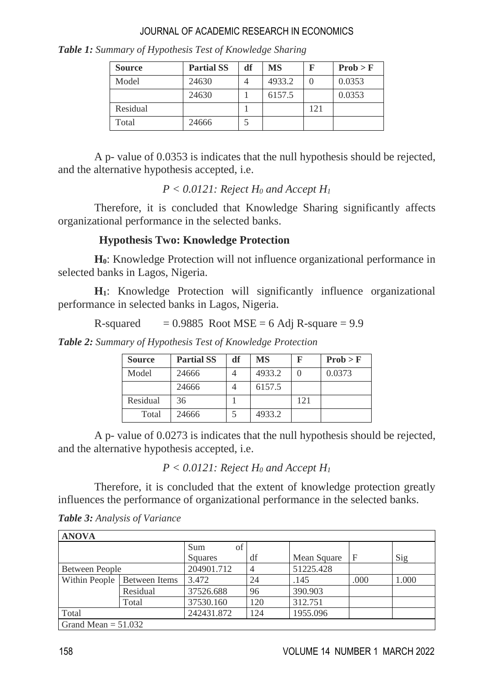| <b>Source</b> | <b>Partial SS</b> | df | MS     |     | Prob > F |
|---------------|-------------------|----|--------|-----|----------|
| Model         | 24630             |    | 4933.2 |     | 0.0353   |
|               | 24630             |    | 6157.5 |     | 0.0353   |
| Residual      |                   |    |        | 121 |          |
| Total         | 24666             |    |        |     |          |

*Table 1: Summary of Hypothesis Test of Knowledge Sharing*

A p- value of 0.0353 is indicates that the null hypothesis should be rejected, and the alternative hypothesis accepted, i.e.

### $P < 0.0121$ : Reject  $H_0$  and Accept  $H_1$

Therefore, it is concluded that Knowledge Sharing significantly affects organizational performance in the selected banks.

# **Hypothesis Two: Knowledge Protection**

**H0**: Knowledge Protection will not influence organizational performance in selected banks in Lagos, Nigeria.

**H1**: Knowledge Protection will significantly influence organizational performance in selected banks in Lagos, Nigeria.

R-squared  $= 0.9885$  Root MSE = 6 Adj R-square = 9.9

*Table 2: Summary of Hypothesis Test of Knowledge Protection*

| <b>Source</b> | <b>Partial SS</b> | df | MS     |     | Prob > F |
|---------------|-------------------|----|--------|-----|----------|
| Model         | 24666             |    | 4933.2 |     | 0.0373   |
|               | 24666             |    | 6157.5 |     |          |
| Residual      | 36                |    |        | 121 |          |
| Total         | 24666             |    | 4933.2 |     |          |

A p- value of 0.0273 is indicates that the null hypothesis should be rejected, and the alternative hypothesis accepted, i.e.

 $P < 0.0121$ : Reject  $H_0$  and Accept  $H_1$ 

Therefore, it is concluded that the extent of knowledge protection greatly influences the performance of organizational performance in the selected banks.

| Table 3: Analysis of Variance |  |  |
|-------------------------------|--|--|
|-------------------------------|--|--|

| <b>ANOVA</b>          |               |            |                |             |      |       |
|-----------------------|---------------|------------|----------------|-------------|------|-------|
|                       |               | Sum<br>of  |                |             |      |       |
|                       |               | Squares    | df             | Mean Square |      | Sig   |
| Between People        |               | 204901.712 | $\overline{4}$ | 51225.428   |      |       |
| Within People         | Between Items | 3.472      | 24             | .145        | .000 | 1.000 |
|                       | Residual      | 37526.688  | 96             | 390.903     |      |       |
|                       | Total         | 37530.160  | 120            | 312.751     |      |       |
| Total                 |               | 242431.872 | 124            | 1955.096    |      |       |
| Grand Mean $= 51.032$ |               |            |                |             |      |       |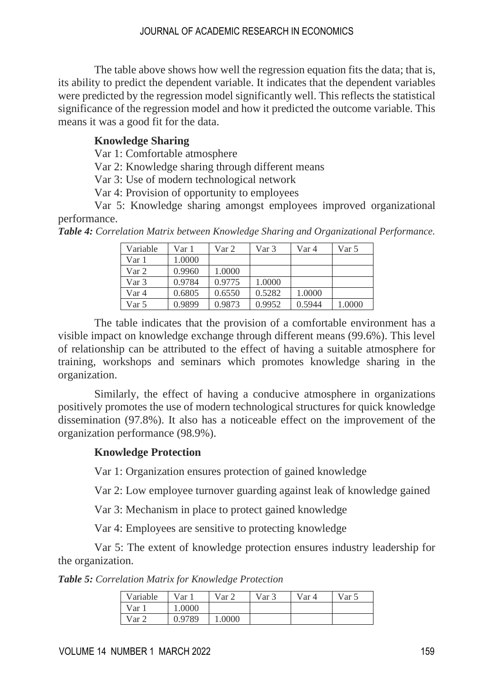The table above shows how well the regression equation fits the data; that is, its ability to predict the dependent variable. It indicates that the dependent variables were predicted by the regression model significantly well. This reflects the statistical significance of the regression model and how it predicted the outcome variable. This means it was a good fit for the data.

### **Knowledge Sharing**

Var 1: Comfortable atmosphere

Var 2: Knowledge sharing through different means

Var 3: Use of modern technological network

Var 4: Provision of opportunity to employees

Var 5: Knowledge sharing amongst employees improved organizational performance.

*Table 4: Correlation Matrix between Knowledge Sharing and Organizational Performance.*

| Variable | Var 1  | Var 2  | Var 3  | Var 4  | Var 5  |
|----------|--------|--------|--------|--------|--------|
| Var 1    | 1.0000 |        |        |        |        |
| Var 2    | 0.9960 | 1.0000 |        |        |        |
| Var 3    | 0.9784 | 0.9775 | 1.0000 |        |        |
| Var 4    | 0.6805 | 0.6550 | 0.5282 | 1.0000 |        |
| Var 5    | 0.9899 | 0.9873 | 0.9952 | 0.5944 | 1.0000 |

The table indicates that the provision of a comfortable environment has a visible impact on knowledge exchange through different means (99.6%). This level of relationship can be attributed to the effect of having a suitable atmosphere for training, workshops and seminars which promotes knowledge sharing in the organization.

Similarly, the effect of having a conducive atmosphere in organizations positively promotes the use of modern technological structures for quick knowledge dissemination (97.8%). It also has a noticeable effect on the improvement of the organization performance (98.9%).

#### **Knowledge Protection**

Var 1: Organization ensures protection of gained knowledge

Var 2: Low employee turnover guarding against leak of knowledge gained

Var 3: Mechanism in place to protect gained knowledge

Var 4: Employees are sensitive to protecting knowledge

Var 5: The extent of knowledge protection ensures industry leadership for the organization.

*Table 5: Correlation Matrix for Knowledge Protection*

| Variable | Var 1  | Var <sub>2</sub> | Var 3 | Var 4 | Var 5 |
|----------|--------|------------------|-------|-------|-------|
| Var 1    | 1.0000 |                  |       |       |       |
| Var 2    | 0.9789 | 1.0000           |       |       |       |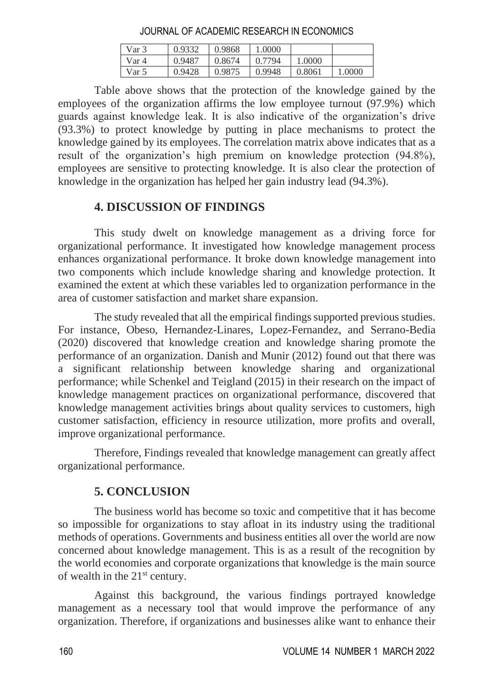Var 3 0.9332 0.9868 1.0000 Var 4 0.9487 0.8674 0.7794 1.0000 Var 5 0.9428 0.9875 0.9948 0.8061 1.0000

JOURNAL OF ACADEMIC RESEARCH IN ECONOMICS

Table above shows that the protection of the knowledge gained by the employees of the organization affirms the low employee turnout (97.9%) which guards against knowledge leak. It is also indicative of the organization's drive (93.3%) to protect knowledge by putting in place mechanisms to protect the knowledge gained by its employees. The correlation matrix above indicates that as a result of the organization's high premium on knowledge protection (94.8%), employees are sensitive to protecting knowledge. It is also clear the protection of knowledge in the organization has helped her gain industry lead (94.3%).

# **4. DISCUSSION OF FINDINGS**

This study dwelt on knowledge management as a driving force for organizational performance. It investigated how knowledge management process enhances organizational performance. It broke down knowledge management into two components which include knowledge sharing and knowledge protection. It examined the extent at which these variables led to organization performance in the area of customer satisfaction and market share expansion.

The study revealed that all the empirical findings supported previous studies. For instance, Obeso, Hernandez-Linares, Lopez-Fernandez, and Serrano-Bedia (2020) discovered that knowledge creation and knowledge sharing promote the performance of an organization. Danish and Munir (2012) found out that there was a significant relationship between knowledge sharing and organizational performance; while Schenkel and Teigland (2015) in their research on the impact of knowledge management practices on organizational performance, discovered that knowledge management activities brings about quality services to customers, high customer satisfaction, efficiency in resource utilization, more profits and overall, improve organizational performance.

Therefore, Findings revealed that knowledge management can greatly affect organizational performance.

# **5. CONCLUSION**

The business world has become so toxic and competitive that it has become so impossible for organizations to stay afloat in its industry using the traditional methods of operations. Governments and business entities all over the world are now concerned about knowledge management. This is as a result of the recognition by the world economies and corporate organizations that knowledge is the main source of wealth in the  $21<sup>st</sup>$  century.

Against this background, the various findings portrayed knowledge management as a necessary tool that would improve the performance of any organization. Therefore, if organizations and businesses alike want to enhance their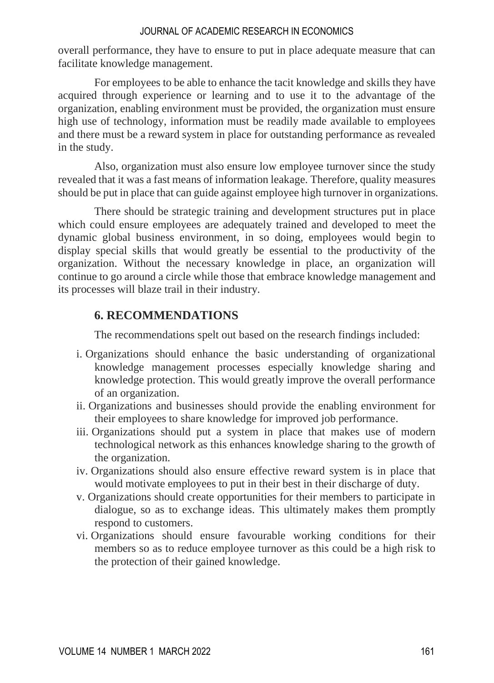overall performance, they have to ensure to put in place adequate measure that can facilitate knowledge management.

For employees to be able to enhance the tacit knowledge and skills they have acquired through experience or learning and to use it to the advantage of the organization, enabling environment must be provided, the organization must ensure high use of technology, information must be readily made available to employees and there must be a reward system in place for outstanding performance as revealed in the study.

Also, organization must also ensure low employee turnover since the study revealed that it was a fast means of information leakage. Therefore, quality measures should be put in place that can guide against employee high turnover in organizations.

There should be strategic training and development structures put in place which could ensure employees are adequately trained and developed to meet the dynamic global business environment, in so doing, employees would begin to display special skills that would greatly be essential to the productivity of the organization. Without the necessary knowledge in place, an organization will continue to go around a circle while those that embrace knowledge management and its processes will blaze trail in their industry.

### **6. RECOMMENDATIONS**

The recommendations spelt out based on the research findings included:

- i. Organizations should enhance the basic understanding of organizational knowledge management processes especially knowledge sharing and knowledge protection. This would greatly improve the overall performance of an organization.
- ii. Organizations and businesses should provide the enabling environment for their employees to share knowledge for improved job performance.
- iii. Organizations should put a system in place that makes use of modern technological network as this enhances knowledge sharing to the growth of the organization.
- iv. Organizations should also ensure effective reward system is in place that would motivate employees to put in their best in their discharge of duty.
- v. Organizations should create opportunities for their members to participate in dialogue, so as to exchange ideas. This ultimately makes them promptly respond to customers.
- vi. Organizations should ensure favourable working conditions for their members so as to reduce employee turnover as this could be a high risk to the protection of their gained knowledge.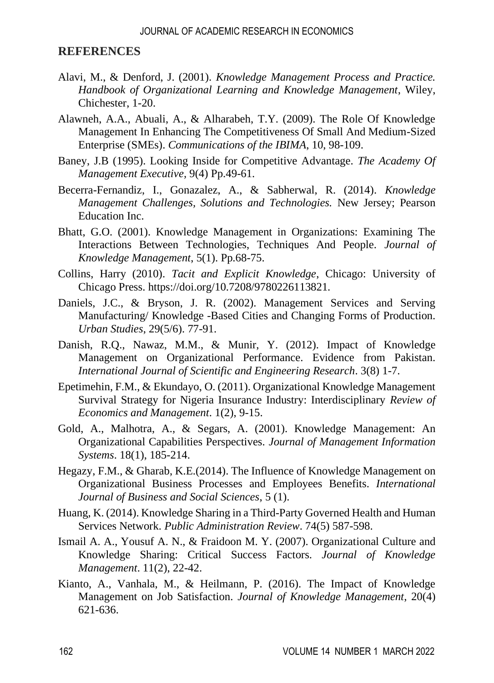#### **REFERENCES**

- Alavi, M., & Denford, J. (2001). *Knowledge Management Process and Practice. Handbook of Organizational Learning and Knowledge Management*, Wiley, Chichester, 1-20.
- Alawneh, A.A., Abuali, A., & Alharabeh, T.Y. (2009). The Role Of Knowledge Management In Enhancing The Competitiveness Of Small And Medium-Sized Enterprise (SMEs). *Communications of the IBIMA*, 10, 98-109.
- Baney, J.B (1995). Looking Inside for Competitive Advantage. *The Academy Of Management Executive,* 9(4) Pp.49-61.
- Becerra-Fernandiz, I., Gonazalez, A., & Sabherwal, R. (2014). *Knowledge Management Challenges, Solutions and Technologies.* New Jersey; Pearson Education Inc.
- Bhatt, G.O. (2001). Knowledge Management in Organizations: Examining The Interactions Between Technologies, Techniques And People. *Journal of Knowledge Management*, 5(1). Pp.68-75.
- Collins, Harry (2010). *Tacit and Explicit Knowledge*, Chicago: University of Chicago Press.<https://doi.org/10.7208/9780226113821.>
- Daniels, J.C., & Bryson, J. R. (2002). Management Services and Serving Manufacturing/ Knowledge -Based Cities and Changing Forms of Production. *Urban Studies*, 29(5/6). 77-91.
- Danish, R.Q., Nawaz, M.M., & Munir, Y. (2012). Impact of Knowledge Management on Organizational Performance. Evidence from Pakistan. *International Journal of Scientific and Engineering Research*. 3(8) 1-7.
- Epetimehin, F.M., & Ekundayo, O. (2011). Organizational Knowledge Management Survival Strategy for Nigeria Insurance Industry: Interdisciplinary *Review of Economics and Management*. 1(2), 9-15.
- Gold, A., Malhotra, A., & Segars, A. (2001). Knowledge Management: An Organizational Capabilities Perspectives. *Journal of Management Information Systems*. 18(1), 185-214.
- Hegazy, F.M., & Gharab, K.E.(2014). The Influence of Knowledge Management on Organizational Business Processes and Employees Benefits. *International Journal of Business and Social Sciences*, 5 (1).
- Huang, K. (2014). Knowledge Sharing in a Third-Party Governed Health and Human Services Network. *Public Administration Review*. 74(5) 587-598.
- Ismail A. A., Yousuf A. N., & Fraidoon M. Y. (2007). Organizational Culture and Knowledge Sharing: Critical Success Factors. *Journal of Knowledge Management*. 11(2), 22-42.
- Kianto, A., Vanhala, M., & Heilmann, P. (2016). The Impact of Knowledge Management on Job Satisfaction. *Journal of Knowledge Management*, 20(4) 621-636.